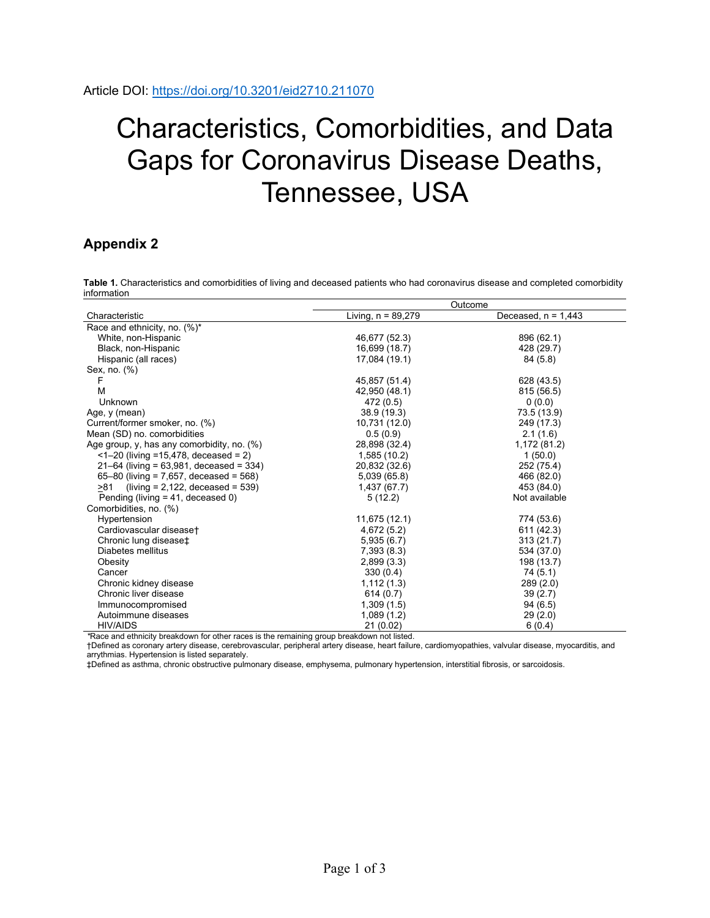## Characteristics, Comorbidities, and Data Gaps for Coronavirus Disease Deaths, Tennessee, USA

## **Appendix 2**

**Table 1.** Characteristics and comorbidities of living and deceased patients who had coronavirus disease and completed comorbidity information

|                                               | Outcome              |                       |  |  |  |
|-----------------------------------------------|----------------------|-----------------------|--|--|--|
| Characteristic                                | Living, $n = 89,279$ | Deceased, $n = 1,443$ |  |  |  |
| Race and ethnicity, no. (%)*                  |                      |                       |  |  |  |
| White, non-Hispanic                           | 46,677 (52.3)        | 896 (62.1)            |  |  |  |
| Black, non-Hispanic                           | 16,699 (18.7)        | 428 (29.7)            |  |  |  |
| Hispanic (all races)                          | 17,084 (19.1)        | 84 (5.8)              |  |  |  |
| Sex, no. (%)                                  |                      |                       |  |  |  |
| F                                             | 45,857 (51.4)        | 628 (43.5)            |  |  |  |
| M                                             | 42,950 (48.1)        | 815 (56.5)            |  |  |  |
| Unknown                                       | 472 (0.5)            | 0(0.0)                |  |  |  |
| Age, y (mean)                                 | 38.9(19.3)           | 73.5 (13.9)           |  |  |  |
| Current/former smoker, no. (%)                | 10,731 (12.0)        | 249 (17.3)            |  |  |  |
| Mean (SD) no. comorbidities                   | 0.5(0.9)             | 2.1(1.6)              |  |  |  |
| Age group, y, has any comorbidity, no. $(\%)$ | 28,898 (32.4)        | 1,172 (81.2)          |  |  |  |
| $\leq$ 1–20 (living = 15,478, deceased = 2)   | 1,585(10.2)          | 1(50.0)               |  |  |  |
| $21 - 64$ (living = 63,981, deceased = 334)   | 20,832 (32.6)        | 252 (75.4)            |  |  |  |
| 65-80 (living = $7,657$ , deceased = $568$ )  | 5,039 (65.8)         | 466 (82.0)            |  |  |  |
| $(living = 2,122, decreased = 539)$<br>>81    | 1,437 (67.7)         | 453 (84.0)            |  |  |  |
| Pending (living = 41, deceased 0)             | 5(12.2)              | Not available         |  |  |  |
| Comorbidities, no. (%)                        |                      |                       |  |  |  |
| Hypertension                                  | 11,675 (12.1)        | 774 (53.6)            |  |  |  |
| Cardiovascular diseaset                       | 4,672 (5.2)          | 611 (42.3)            |  |  |  |
| Chronic lung disease <sup>+</sup>             | 5,935(6.7)           | 313 (21.7)            |  |  |  |
| Diabetes mellitus                             | 7,393 (8.3)          | 534 (37.0)            |  |  |  |
| Obesity                                       | 2,899(3.3)           | 198 (13.7)            |  |  |  |
| Cancer                                        | 330(0.4)             | 74 (5.1)              |  |  |  |
| Chronic kidney disease                        | 1,112(1.3)           | 289(2.0)              |  |  |  |
| Chronic liver disease                         | 614(0.7)             | 39(2.7)               |  |  |  |
| Immunocompromised                             | 1,309(1.5)           | 94(6.5)               |  |  |  |
| Autoimmune diseases                           | 1,089(1.2)           | 29(2.0)               |  |  |  |
| <b>HIV/AIDS</b>                               | 21(0.02)             | 6(0.4)                |  |  |  |

*\**Race and ethnicity breakdown for other races is the remaining group breakdown not listed.

†Defined as coronary artery disease, cerebrovascular, peripheral artery disease, heart failure, cardiomyopathies, valvular disease, myocarditis, and arrythmias. Hypertension is listed separately.

‡Defined as asthma, chronic obstructive pulmonary disease, emphysema, pulmonary hypertension, interstitial fibrosis, or sarcoidosis.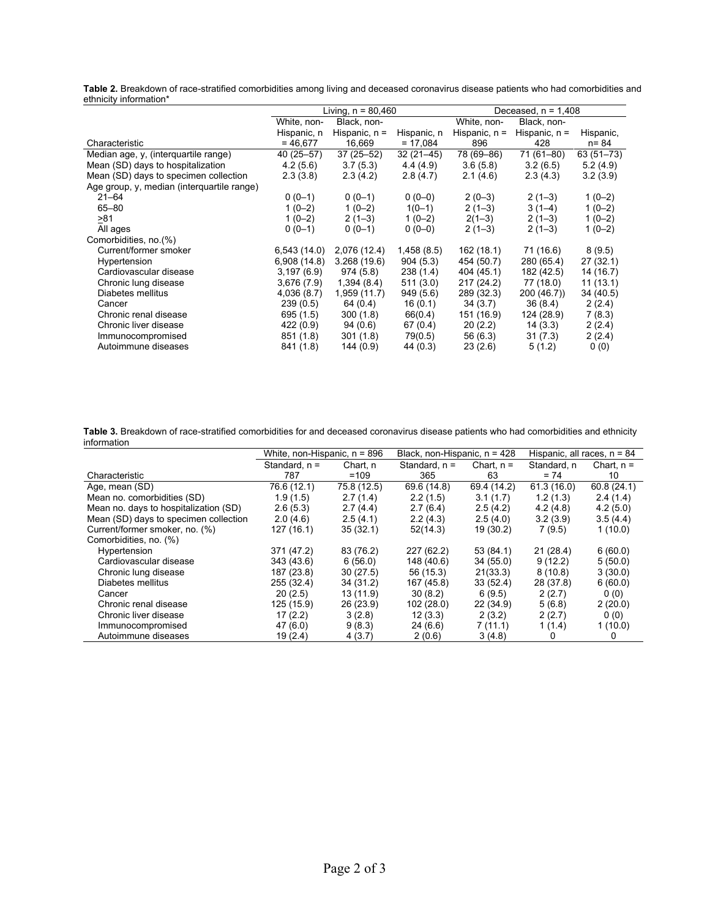| Table 2. Breakdown of race-stratified comorbidities among living and deceased coronavirus disease patients who had comorbidities and |  |  |
|--------------------------------------------------------------------------------------------------------------------------------------|--|--|
| ethnicity information*                                                                                                               |  |  |

|                                            | Living, $n = 80,460$       |                 |             | Deceased, $n = 1,408$ |                 |               |
|--------------------------------------------|----------------------------|-----------------|-------------|-----------------------|-----------------|---------------|
|                                            | Black, non-<br>White, non- |                 | White, non- | Black, non-           |                 |               |
|                                            | Hispanic, n                | Hispanic, $n =$ | Hispanic, n | Hispanic, $n =$       | Hispanic, $n =$ | Hispanic,     |
| Characteristic                             | $= 46,677$                 | 16,669          | $= 17,084$  | 896                   | 428             | n= 84         |
| Median age, y, (interquartile range)       | 40 (25 - 57)               | $37(25 - 52)$   | $32(21-45)$ | 78 (69-86)            | 71 (61-80)      | $63(51 - 73)$ |
| Mean (SD) days to hospitalization          | 4.2(5.6)                   | 3.7(5.3)        | 4.4(4.9)    | 3.6(5.8)              | 3.2(6.5)        | 5.2(4.9)      |
| Mean (SD) days to specimen collection      | 2.3(3.8)                   | 2.3(4.2)        | 2.8(4.7)    | 2.1(4.6)              | 2.3(4.3)        | 3.2(3.9)      |
| Age group, y, median (interquartile range) |                            |                 |             |                       |                 |               |
| $21 - 64$                                  | $0(0-1)$                   | $0(0-1)$        | $0(0-0)$    | $2(0-3)$              | $2(1-3)$        | $1(0-2)$      |
| $65 - 80$                                  | $1(0-2)$                   | $1(0-2)$        | $1(0-1)$    | $2(1-3)$              | $3(1-4)$        | $1(0-2)$      |
| >81                                        | $1(0-2)$                   | $2(1-3)$        | $1(0-2)$    | $2(1-3)$              | $2(1-3)$        | $1(0-2)$      |
| All ages                                   | $0(0-1)$                   | $0(0-1)$        | $0(0-0)$    | $2(1-3)$              | $2(1-3)$        | $1(0-2)$      |
| Comorbidities, no.(%)                      |                            |                 |             |                       |                 |               |
| Current/former smoker                      | 6,543(14.0)                | 2,076 (12.4)    | 1,458(8.5)  | 162(18.1)             | 71 (16.6)       | 8(9.5)        |
| Hypertension                               | 6,908(14.8)                | 3.268(19.6)     | 904(5.3)    | 454 (50.7)            | 280 (65.4)      | 27(32.1)      |
| Cardiovascular disease                     | 3,197(6.9)                 | 974 (5.8)       | 238(1.4)    | 404 (45.1)            | 182 (42.5)      | 14 (16.7)     |
| Chronic lung disease                       | 3,676 (7.9)                | 1,394(8.4)      | 511(3.0)    | 217 (24.2)            | 77 (18.0)       | 11(13.1)      |
| Diabetes mellitus                          | 4,036 (8.7)                | 1,959 (11.7)    | 949(5.6)    | 289 (32.3)            | 200 (46.7))     | 34 (40.5)     |
| Cancer                                     | 239(0.5)                   | 64 (0.4)        | 16(0.1)     | 34(3.7)               | 36(8.4)         | 2(2.4)        |
| Chronic renal disease                      | 695 (1.5)                  | 300(1.8)        | 66(0.4)     | 151 (16.9)            | 124 (28.9)      | 7(8.3)        |
| Chronic liver disease                      | 422(0.9)                   | 94 (0.6)        | 67 (0.4)    | 20(2.2)               | 14(3.3)         | 2(2.4)        |
| Immunocompromised                          | 851 (1.8)                  | 301(1.8)        | 79(0.5)     | 56 (6.3)              | 31(7.3)         | 2(2.4)        |
| Autoimmune diseases                        | 841 (1.8)                  | 144 (0.9)       | 44 (0.3)    | 23 (2.6)              | 5(1.2)          | 0(0)          |

**Table 3.** Breakdown of race-stratified comorbidities for and deceased coronavirus disease patients who had comorbidities and ethnicity information

|                                       | White, non-Hispanic, $n = 896$ |             | Black, non-Hispanic, $n = 428$ |              | Hispanic, all races, $n = 84$ |              |
|---------------------------------------|--------------------------------|-------------|--------------------------------|--------------|-------------------------------|--------------|
|                                       | Standard, $n =$                | Chart. n    | Standard, $n =$                | Chart, $n =$ | Standard, n                   | Chart, $n =$ |
| Characteristic                        | 787                            | $=109$      | 365                            | 63           | $= 74$                        | 10           |
| Age, mean (SD)                        | 76.6 (12.1)                    | 75.8 (12.5) | 69.6 (14.8)                    | 69.4 (14.2)  | 61.3(16.0)                    | 60.8(24.1)   |
| Mean no. comorbidities (SD)           | 1.9(1.5)                       | 2.7(1.4)    | 2.2(1.5)                       | 3.1(1.7)     | 1.2(1.3)                      | 2.4(1.4)     |
| Mean no. days to hospitalization (SD) | 2.6(5.3)                       | 2.7(4.4)    | 2.7(6.4)                       | 2.5(4.2)     | 4.2(4.8)                      | 4.2(5.0)     |
| Mean (SD) days to specimen collection | 2.0(4.6)                       | 2.5(4.1)    | 2.2(4.3)                       | 2.5(4.0)     | 3.2(3.9)                      | 3.5(4.4)     |
| Current/former smoker, no. (%)        | 127(16.1)                      | 35(32.1)    | 52(14.3)                       | 19 (30.2)    | 7(9.5)                        | 1(10.0)      |
| Comorbidities, no. (%)                |                                |             |                                |              |                               |              |
| Hypertension                          | 371 (47.2)                     | 83 (76.2)   | 227 (62.2)                     | 53(84.1)     | 21(28.4)                      | 6(60.0)      |
| Cardiovascular disease                | 343 (43.6)                     | 6(56.0)     | 148 (40.6)                     | 34 (55.0)    | 9(12.2)                       | 5(50.0)      |
| Chronic lung disease                  | 187 (23.8)                     | 30(27.5)    | 56 (15.3)                      | 21(33.3)     | 8(10.8)                       | 3(30.0)      |
| Diabetes mellitus                     | 255 (32.4)                     | 34 (31.2)   | 167 (45.8)                     | 33(52.4)     | 28 (37.8)                     | 6(60.0)      |
| Cancer                                | 20(2.5)                        | 13 (11.9)   | 30(8.2)                        | 6(9.5)       | 2(2.7)                        | 0(0)         |
| Chronic renal disease                 | 125 (15.9)                     | 26 (23.9)   | 102 (28.0)                     | 22(34.9)     | 5(6.8)                        | 2(20.0)      |
| Chronic liver disease                 | 17(2.2)                        | 3(2.8)      | 12(3.3)                        | 2(3.2)       | 2(2.7)                        | 0(0)         |
| Immunocompromised                     | 47(6.0)                        | 9(8.3)      | 24(6.6)                        | 7(11.1)      | 1(1.4)                        | 1 (10.0)     |
| Autoimmune diseases                   | 19 (2.4)                       | 4(3.7)      | 2(0.6)                         | 3(4.8)       | 0                             | 0            |